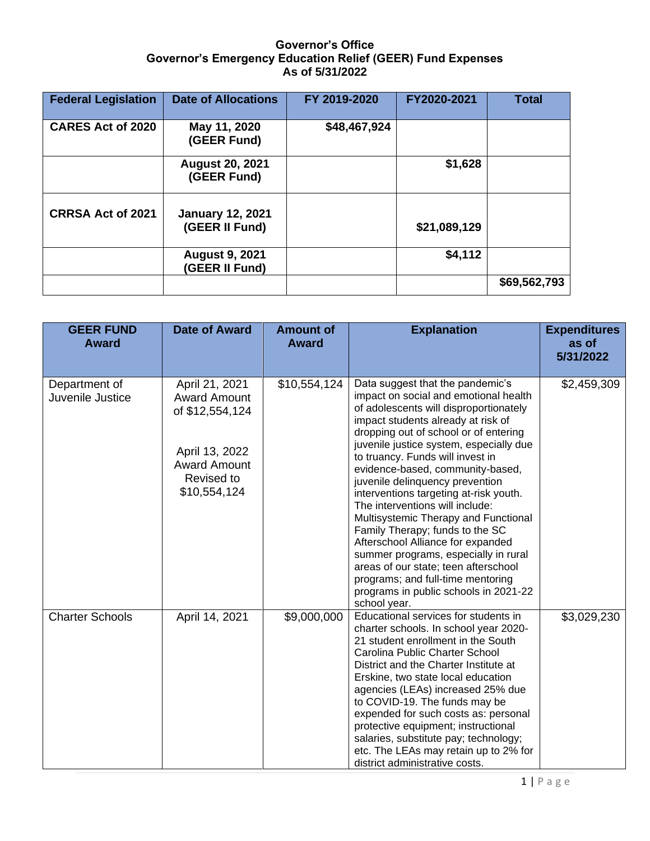## **Governor's Office Governor's Emergency Education Relief (GEER) Fund Expenses As of 5/31/2022**

| <b>Federal Legislation</b> | <b>Date of Allocations</b>                | FY 2019-2020 | FY2020-2021  | <b>Total</b> |
|----------------------------|-------------------------------------------|--------------|--------------|--------------|
| <b>CARES Act of 2020</b>   | May 11, 2020<br>(GEER Fund)               | \$48,467,924 |              |              |
|                            | <b>August 20, 2021</b><br>(GEER Fund)     |              | \$1,628      |              |
| <b>CRRSA Act of 2021</b>   | <b>January 12, 2021</b><br>(GEER II Fund) |              | \$21,089,129 |              |
|                            | <b>August 9, 2021</b><br>(GEER II Fund)   |              | \$4,112      |              |
|                            |                                           |              |              | \$69,562,793 |

| <b>GEER FUND</b><br><b>Award</b>  | <b>Date of Award</b>                                                                                                            | <b>Amount of</b><br><b>Award</b> | <b>Explanation</b>                                                                                                                                                                                                                                                                                                                                                                                                                                                                                                                                                                                                                                                                                                                  | <b>Expenditures</b><br>as of<br>5/31/2022 |
|-----------------------------------|---------------------------------------------------------------------------------------------------------------------------------|----------------------------------|-------------------------------------------------------------------------------------------------------------------------------------------------------------------------------------------------------------------------------------------------------------------------------------------------------------------------------------------------------------------------------------------------------------------------------------------------------------------------------------------------------------------------------------------------------------------------------------------------------------------------------------------------------------------------------------------------------------------------------------|-------------------------------------------|
| Department of<br>Juvenile Justice | April 21, 2021<br><b>Award Amount</b><br>of \$12,554,124<br>April 13, 2022<br><b>Award Amount</b><br>Revised to<br>\$10,554,124 | \$10,554,124                     | Data suggest that the pandemic's<br>impact on social and emotional health<br>of adolescents will disproportionately<br>impact students already at risk of<br>dropping out of school or of entering<br>juvenile justice system, especially due<br>to truancy. Funds will invest in<br>evidence-based, community-based,<br>juvenile delinquency prevention<br>interventions targeting at-risk youth.<br>The interventions will include:<br>Multisystemic Therapy and Functional<br>Family Therapy; funds to the SC<br>Afterschool Alliance for expanded<br>summer programs, especially in rural<br>areas of our state; teen afterschool<br>programs; and full-time mentoring<br>programs in public schools in 2021-22<br>school year. | \$2,459,309                               |
| <b>Charter Schools</b>            | April 14, 2021                                                                                                                  | \$9,000,000                      | Educational services for students in<br>charter schools. In school year 2020-<br>21 student enrollment in the South<br>Carolina Public Charter School<br>District and the Charter Institute at<br>Erskine, two state local education<br>agencies (LEAs) increased 25% due<br>to COVID-19. The funds may be<br>expended for such costs as: personal<br>protective equipment; instructional<br>salaries, substitute pay; technology;<br>etc. The LEAs may retain up to 2% for<br>district administrative costs.                                                                                                                                                                                                                       | \$3,029,230                               |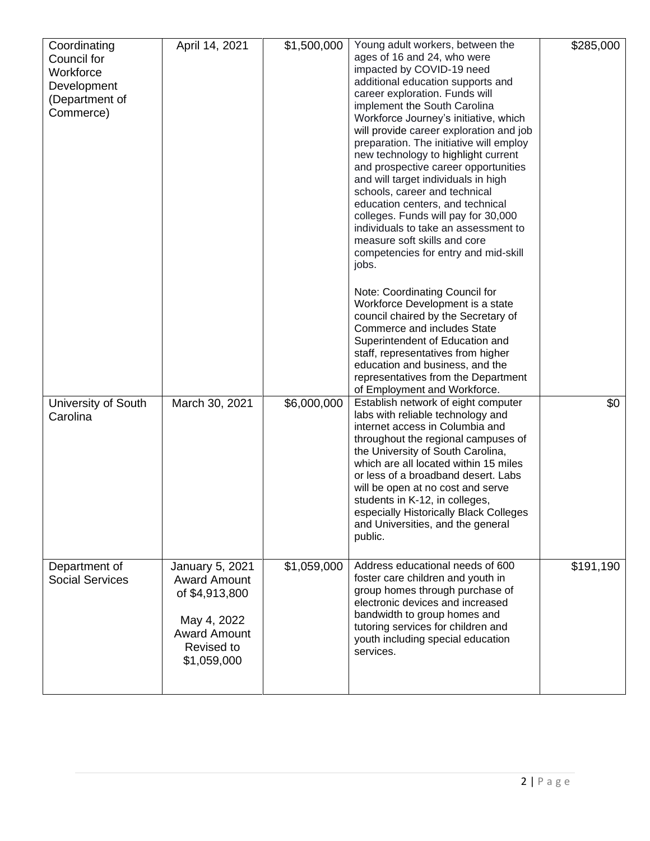| Coordinating<br>Council for<br>Workforce<br>Development<br>(Department of<br>Commerce) | April 14, 2021                                                                                                              | \$1,500,000 | Young adult workers, between the<br>ages of 16 and 24, who were<br>impacted by COVID-19 need<br>additional education supports and<br>career exploration. Funds will<br>implement the South Carolina<br>Workforce Journey's initiative, which<br>will provide career exploration and job<br>preparation. The initiative will employ<br>new technology to highlight current<br>and prospective career opportunities<br>and will target individuals in high<br>schools, career and technical<br>education centers, and technical<br>colleges. Funds will pay for 30,000<br>individuals to take an assessment to<br>measure soft skills and core<br>competencies for entry and mid-skill<br>jobs.<br>Note: Coordinating Council for<br>Workforce Development is a state<br>council chaired by the Secretary of<br><b>Commerce and includes State</b><br>Superintendent of Education and<br>staff, representatives from higher | \$285,000 |
|----------------------------------------------------------------------------------------|-----------------------------------------------------------------------------------------------------------------------------|-------------|---------------------------------------------------------------------------------------------------------------------------------------------------------------------------------------------------------------------------------------------------------------------------------------------------------------------------------------------------------------------------------------------------------------------------------------------------------------------------------------------------------------------------------------------------------------------------------------------------------------------------------------------------------------------------------------------------------------------------------------------------------------------------------------------------------------------------------------------------------------------------------------------------------------------------|-----------|
| University of South<br>Carolina                                                        | March 30, 2021                                                                                                              | \$6,000,000 | education and business, and the<br>representatives from the Department<br>of Employment and Workforce.<br>Establish network of eight computer<br>labs with reliable technology and<br>internet access in Columbia and<br>throughout the regional campuses of<br>the University of South Carolina,<br>which are all located within 15 miles<br>or less of a broadband desert. Labs<br>will be open at no cost and serve<br>students in K-12, in colleges,<br>especially Historically Black Colleges<br>and Universities, and the general<br>public.                                                                                                                                                                                                                                                                                                                                                                        | \$0       |
| Department of<br><b>Social Services</b>                                                | January 5, 2021<br><b>Award Amount</b><br>of \$4,913,800<br>May 4, 2022<br><b>Award Amount</b><br>Revised to<br>\$1,059,000 | \$1,059,000 | Address educational needs of 600<br>foster care children and youth in<br>group homes through purchase of<br>electronic devices and increased<br>bandwidth to group homes and<br>tutoring services for children and<br>youth including special education<br>services.                                                                                                                                                                                                                                                                                                                                                                                                                                                                                                                                                                                                                                                      | \$191,190 |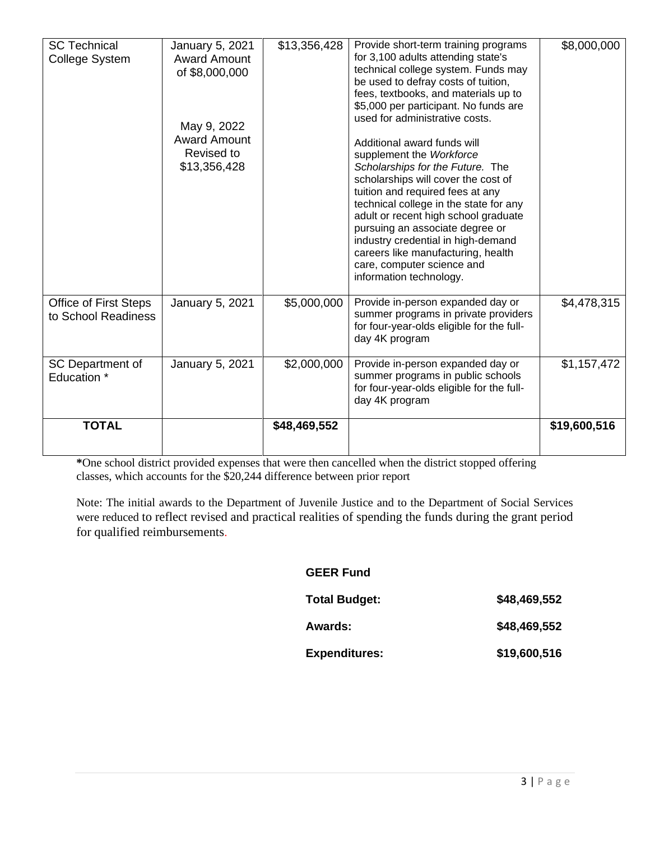| <b>SC Technical</b><br>College System               | January 5, 2021<br><b>Award Amount</b><br>of \$8,000,000<br>May 9, 2022<br><b>Award Amount</b><br>Revised to<br>\$13,356,428 | \$13,356,428 | Provide short-term training programs<br>for 3,100 adults attending state's<br>technical college system. Funds may<br>be used to defray costs of tuition,<br>fees, textbooks, and materials up to<br>\$5,000 per participant. No funds are<br>used for administrative costs.<br>Additional award funds will<br>supplement the Workforce<br>Scholarships for the Future. The<br>scholarships will cover the cost of<br>tuition and required fees at any<br>technical college in the state for any<br>adult or recent high school graduate<br>pursuing an associate degree or<br>industry credential in high-demand<br>careers like manufacturing, health<br>care, computer science and<br>information technology. | \$8,000,000  |
|-----------------------------------------------------|------------------------------------------------------------------------------------------------------------------------------|--------------|-----------------------------------------------------------------------------------------------------------------------------------------------------------------------------------------------------------------------------------------------------------------------------------------------------------------------------------------------------------------------------------------------------------------------------------------------------------------------------------------------------------------------------------------------------------------------------------------------------------------------------------------------------------------------------------------------------------------|--------------|
| <b>Office of First Steps</b><br>to School Readiness | January 5, 2021                                                                                                              | \$5,000,000  | Provide in-person expanded day or<br>summer programs in private providers<br>for four-year-olds eligible for the full-<br>day 4K program                                                                                                                                                                                                                                                                                                                                                                                                                                                                                                                                                                        | \$4,478,315  |
| SC Department of<br>Education *                     | January 5, 2021                                                                                                              | \$2,000,000  | Provide in-person expanded day or<br>summer programs in public schools<br>for four-year-olds eligible for the full-<br>day 4K program                                                                                                                                                                                                                                                                                                                                                                                                                                                                                                                                                                           | \$1,157,472  |
| <b>TOTAL</b>                                        |                                                                                                                              | \$48,469,552 |                                                                                                                                                                                                                                                                                                                                                                                                                                                                                                                                                                                                                                                                                                                 | \$19,600,516 |

**\***One school district provided expenses that were then cancelled when the district stopped offering classes, which accounts for the \$20,244 difference between prior report

Note: The initial awards to the Department of Juvenile Justice and to the Department of Social Services were reduced to reflect revised and practical realities of spending the funds during the grant period for qualified reimbursements.

## **GEER Fund**

| <b>Total Budget:</b> | \$48,469,552 |
|----------------------|--------------|
| <b>Awards:</b>       | \$48,469,552 |
| <b>Expenditures:</b> | \$19,600,516 |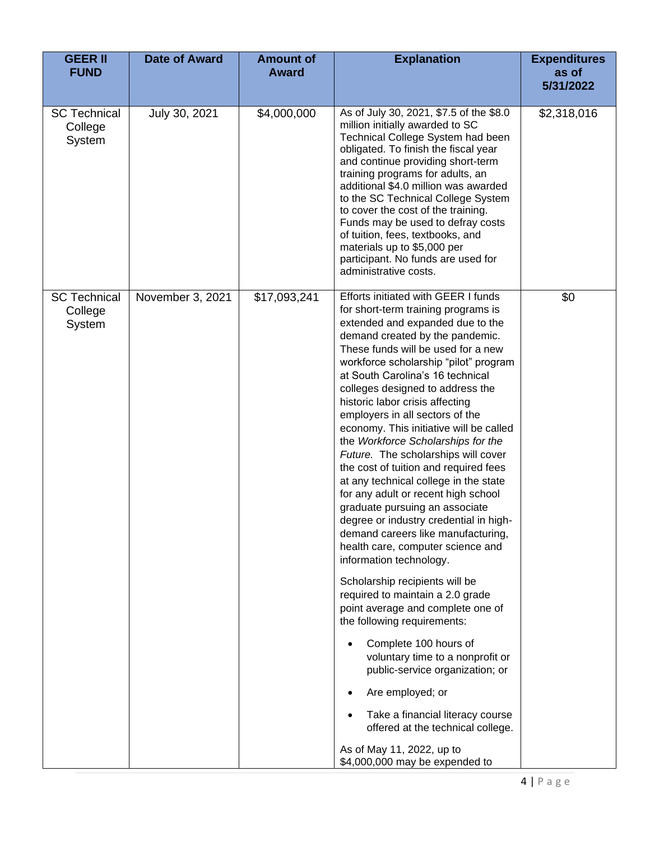| <b>GEER II</b><br><b>FUND</b>            | <b>Date of Award</b> | <b>Amount of</b><br><b>Award</b> | <b>Explanation</b>                                                                                                                                                                                                                                                                                                                                                                                                                                                                                                                                                                                                                                                                                                                                                                                                                                                                                                                                                                                                                                                                                                                                                                                                      | <b>Expenditures</b><br>as of<br>5/31/2022 |
|------------------------------------------|----------------------|----------------------------------|-------------------------------------------------------------------------------------------------------------------------------------------------------------------------------------------------------------------------------------------------------------------------------------------------------------------------------------------------------------------------------------------------------------------------------------------------------------------------------------------------------------------------------------------------------------------------------------------------------------------------------------------------------------------------------------------------------------------------------------------------------------------------------------------------------------------------------------------------------------------------------------------------------------------------------------------------------------------------------------------------------------------------------------------------------------------------------------------------------------------------------------------------------------------------------------------------------------------------|-------------------------------------------|
| <b>SC Technical</b><br>College<br>System | July 30, 2021        | \$4,000,000                      | As of July 30, 2021, \$7.5 of the \$8.0<br>million initially awarded to SC<br>Technical College System had been<br>obligated. To finish the fiscal year<br>and continue providing short-term<br>training programs for adults, an<br>additional \$4.0 million was awarded<br>to the SC Technical College System<br>to cover the cost of the training.<br>Funds may be used to defray costs<br>of tuition, fees, textbooks, and<br>materials up to \$5,000 per<br>participant. No funds are used for<br>administrative costs.                                                                                                                                                                                                                                                                                                                                                                                                                                                                                                                                                                                                                                                                                             | \$2,318,016                               |
| <b>SC Technical</b><br>College<br>System | November 3, 2021     | \$17,093,241                     | Efforts initiated with GEER I funds<br>for short-term training programs is<br>extended and expanded due to the<br>demand created by the pandemic.<br>These funds will be used for a new<br>workforce scholarship "pilot" program<br>at South Carolina's 16 technical<br>colleges designed to address the<br>historic labor crisis affecting<br>employers in all sectors of the<br>economy. This initiative will be called<br>the Workforce Scholarships for the<br>Future. The scholarships will cover<br>the cost of tuition and required fees<br>at any technical college in the state<br>for any adult or recent high school<br>graduate pursuing an associate<br>degree or industry credential in high-<br>demand careers like manufacturing,<br>health care, computer science and<br>information technology.<br>Scholarship recipients will be<br>required to maintain a 2.0 grade<br>point average and complete one of<br>the following requirements:<br>Complete 100 hours of<br>voluntary time to a nonprofit or<br>public-service organization; or<br>Are employed; or<br>Take a financial literacy course<br>offered at the technical college.<br>As of May 11, 2022, up to<br>\$4,000,000 may be expended to | \$0                                       |